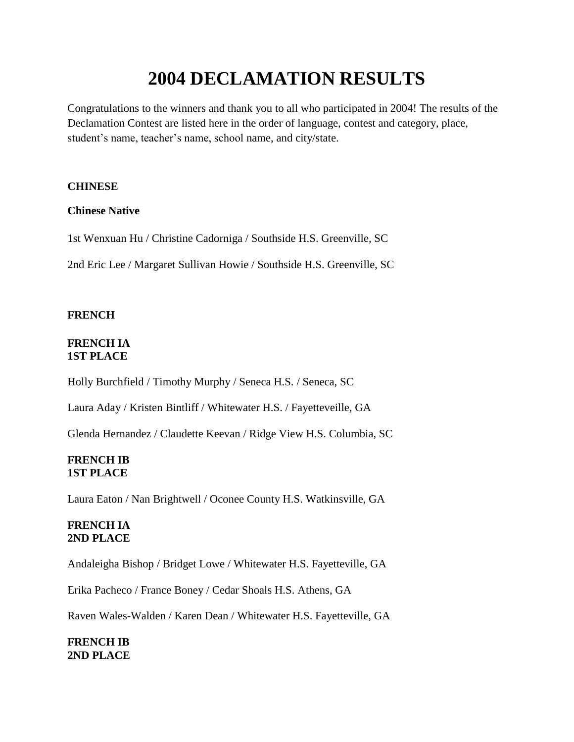# **2004 DECLAMATION RESULTS**

Congratulations to the winners and thank you to all who participated in 2004! The results of the Declamation Contest are listed here in the order of language, contest and category, place, student's name, teacher's name, school name, and city/state.

### **CHINESE**

### **Chinese Native**

1st Wenxuan Hu / Christine Cadorniga / Southside H.S. Greenville, SC

2nd Eric Lee / Margaret Sullivan Howie / Southside H.S. Greenville, SC

### **FRENCH**

### **FRENCH IA 1ST PLACE**

Holly Burchfield / Timothy Murphy / Seneca H.S. / Seneca, SC

Laura Aday / Kristen Bintliff / Whitewater H.S. / Fayetteveille, GA

Glenda Hernandez / Claudette Keevan / Ridge View H.S. Columbia, SC

### **FRENCH IB 1ST PLACE**

Laura Eaton / Nan Brightwell / Oconee County H.S. Watkinsville, GA

### **FRENCH IA 2ND PLACE**

Andaleigha Bishop / Bridget Lowe / Whitewater H.S. Fayetteville, GA

Erika Pacheco / France Boney / Cedar Shoals H.S. Athens, GA

Raven Wales-Walden / Karen Dean / Whitewater H.S. Fayetteville, GA

**FRENCH IB 2ND PLACE**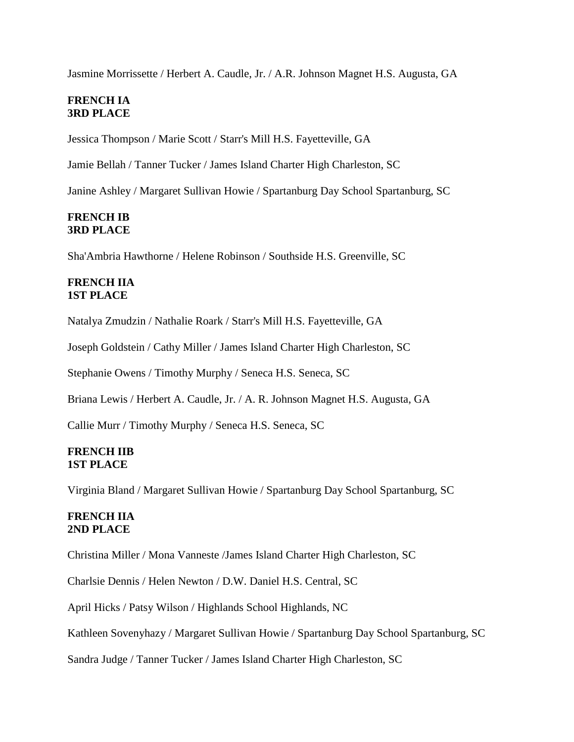Jasmine Morrissette / Herbert A. Caudle, Jr. / A.R. Johnson Magnet H.S. Augusta, GA

### **FRENCH IA 3RD PLACE**

Jessica Thompson / Marie Scott / Starr's Mill H.S. Fayetteville, GA

Jamie Bellah / Tanner Tucker / James Island Charter High Charleston, SC

Janine Ashley / Margaret Sullivan Howie / Spartanburg Day School Spartanburg, SC

### **FRENCH IB 3RD PLACE**

Sha'Ambria Hawthorne / Helene Robinson / Southside H.S. Greenville, SC

### **FRENCH IIA 1ST PLACE**

Natalya Zmudzin / Nathalie Roark / Starr's Mill H.S. Fayetteville, GA

Joseph Goldstein / Cathy Miller / James Island Charter High Charleston, SC

Stephanie Owens / Timothy Murphy / Seneca H.S. Seneca, SC

Briana Lewis / Herbert A. Caudle, Jr. / A. R. Johnson Magnet H.S. Augusta, GA

Callie Murr / Timothy Murphy / Seneca H.S. Seneca, SC

#### **FRENCH IIB 1ST PLACE**

Virginia Bland / Margaret Sullivan Howie / Spartanburg Day School Spartanburg, SC

### **FRENCH IIA 2ND PLACE**

Christina Miller / Mona Vanneste /James Island Charter High Charleston, SC

Charlsie Dennis / Helen Newton / D.W. Daniel H.S. Central, SC

April Hicks / Patsy Wilson / Highlands School Highlands, NC

Kathleen Sovenyhazy / Margaret Sullivan Howie / Spartanburg Day School Spartanburg, SC

Sandra Judge / Tanner Tucker / James Island Charter High Charleston, SC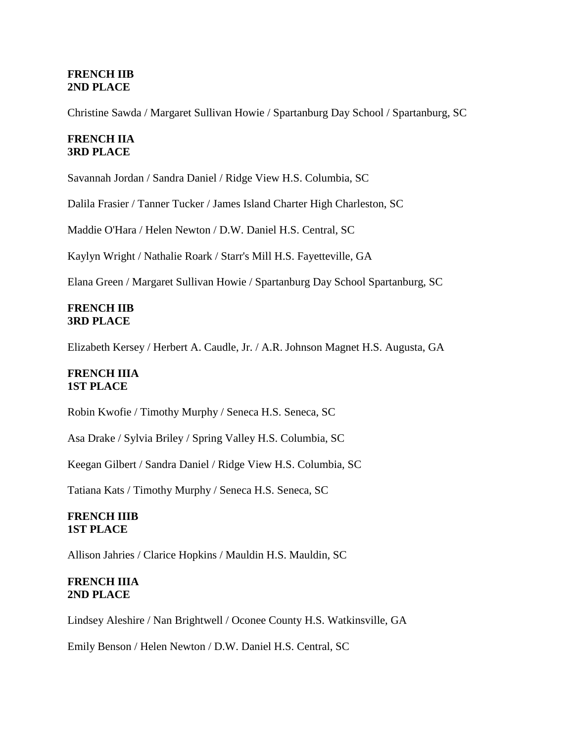### **FRENCH IIB 2ND PLACE**

Christine Sawda / Margaret Sullivan Howie / Spartanburg Day School / Spartanburg, SC

### **FRENCH IIA 3RD PLACE**

Savannah Jordan / Sandra Daniel / Ridge View H.S. Columbia, SC

Dalila Frasier / Tanner Tucker / James Island Charter High Charleston, SC

Maddie O'Hara / Helen Newton / D.W. Daniel H.S. Central, SC

Kaylyn Wright / Nathalie Roark / Starr's Mill H.S. Fayetteville, GA

Elana Green / Margaret Sullivan Howie / Spartanburg Day School Spartanburg, SC

#### **FRENCH IIB 3RD PLACE**

Elizabeth Kersey / Herbert A. Caudle, Jr. / A.R. Johnson Magnet H.S. Augusta, GA

### **FRENCH IIIA 1ST PLACE**

Robin Kwofie / Timothy Murphy / Seneca H.S. Seneca, SC

Asa Drake / Sylvia Briley / Spring Valley H.S. Columbia, SC

Keegan Gilbert / Sandra Daniel / Ridge View H.S. Columbia, SC

Tatiana Kats / Timothy Murphy / Seneca H.S. Seneca, SC

### **FRENCH IIIB 1ST PLACE**

Allison Jahries / Clarice Hopkins / Mauldin H.S. Mauldin, SC

#### **FRENCH IIIA 2ND PLACE**

Lindsey Aleshire / Nan Brightwell / Oconee County H.S. Watkinsville, GA

Emily Benson / Helen Newton / D.W. Daniel H.S. Central, SC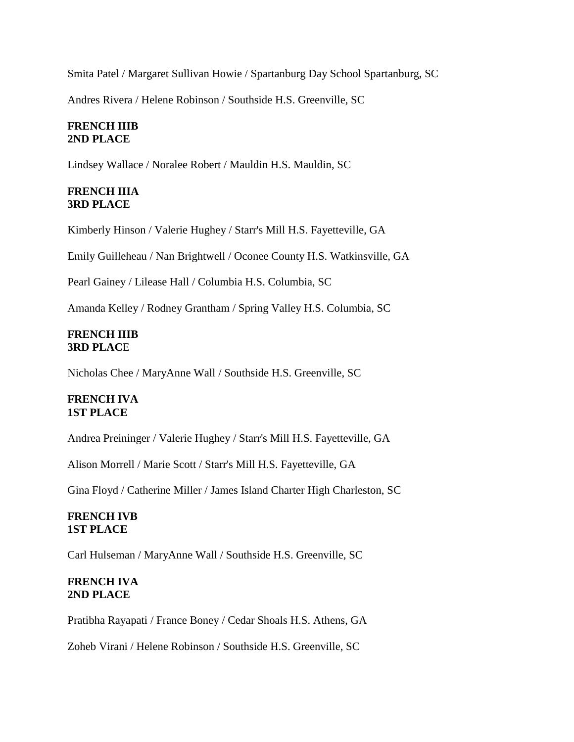Smita Patel / Margaret Sullivan Howie / Spartanburg Day School Spartanburg, SC

Andres Rivera / Helene Robinson / Southside H.S. Greenville, SC

### **FRENCH IIIB 2ND PLACE**

Lindsey Wallace / Noralee Robert / Mauldin H.S. Mauldin, SC

### **FRENCH IIIA 3RD PLACE**

Kimberly Hinson / Valerie Hughey / Starr's Mill H.S. Fayetteville, GA

Emily Guilleheau / Nan Brightwell / Oconee County H.S. Watkinsville, GA

Pearl Gainey / Lilease Hall / Columbia H.S. Columbia, SC

Amanda Kelley / Rodney Grantham / Spring Valley H.S. Columbia, SC

### **FRENCH IIIB 3RD PLAC**E

Nicholas Chee / MaryAnne Wall / Southside H.S. Greenville, SC

# **FRENCH IVA 1ST PLACE**

Andrea Preininger / Valerie Hughey / Starr's Mill H.S. Fayetteville, GA

Alison Morrell / Marie Scott / Starr's Mill H.S. Fayetteville, GA

Gina Floyd / Catherine Miller / James Island Charter High Charleston, SC

### **FRENCH IVB 1ST PLACE**

Carl Hulseman / MaryAnne Wall / Southside H.S. Greenville, SC

### **FRENCH IVA 2ND PLACE**

Pratibha Rayapati / France Boney / Cedar Shoals H.S. Athens, GA

Zoheb Virani / Helene Robinson / Southside H.S. Greenville, SC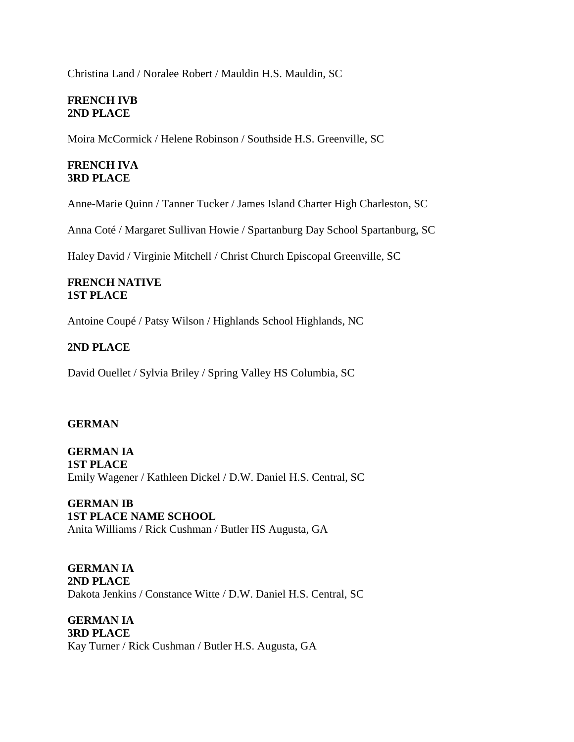Christina Land / Noralee Robert / Mauldin H.S. Mauldin, SC

### **FRENCH IVB 2ND PLACE**

Moira McCormick / Helene Robinson / Southside H.S. Greenville, SC

# **FRENCH IVA 3RD PLACE**

Anne-Marie Quinn / Tanner Tucker / James Island Charter High Charleston, SC

Anna Coté / Margaret Sullivan Howie / Spartanburg Day School Spartanburg, SC

Haley David / Virginie Mitchell / Christ Church Episcopal Greenville, SC

### **FRENCH NATIVE 1ST PLACE**

Antoine Coupé / Patsy Wilson / Highlands School Highlands, NC

### **2ND PLACE**

David Ouellet / Sylvia Briley / Spring Valley HS Columbia, SC

### **GERMAN**

**GERMAN IA 1ST PLACE**  Emily Wagener / Kathleen Dickel / D.W. Daniel H.S. Central, SC

**GERMAN IB 1ST PLACE NAME SCHOOL** Anita Williams / Rick Cushman / Butler HS Augusta, GA

**GERMAN IA 2ND PLACE**  Dakota Jenkins / Constance Witte / D.W. Daniel H.S. Central, SC

**GERMAN IA 3RD PLACE**  Kay Turner / Rick Cushman / Butler H.S. Augusta, GA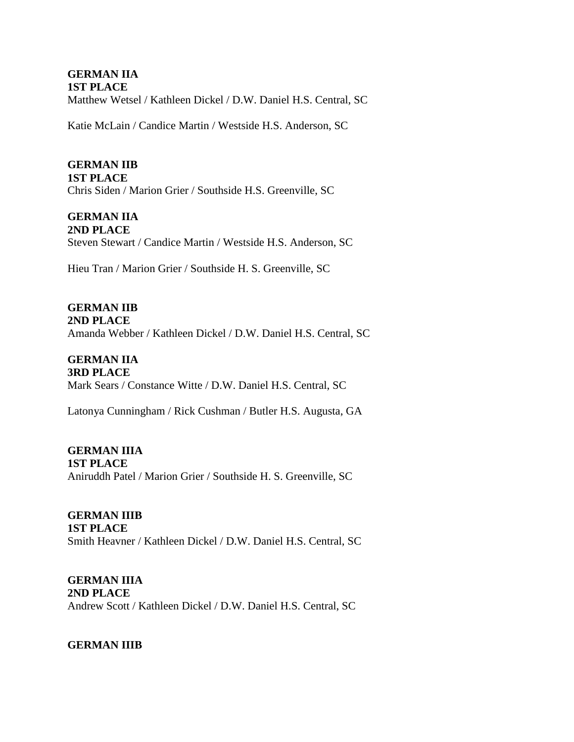#### **GERMAN IIA 1ST PLACE**

Matthew Wetsel / Kathleen Dickel / D.W. Daniel H.S. Central, SC

Katie McLain / Candice Martin / Westside H.S. Anderson, SC

# **GERMAN IIB**

**1ST PLACE**  Chris Siden / Marion Grier / Southside H.S. Greenville, SC

# **GERMAN IIA**

**2ND PLACE** Steven Stewart / Candice Martin / Westside H.S. Anderson, SC

Hieu Tran / Marion Grier / Southside H. S. Greenville, SC

**GERMAN IIB 2ND PLACE** Amanda Webber / Kathleen Dickel / D.W. Daniel H.S. Central, SC

**GERMAN IIA 3RD PLACE**  Mark Sears / Constance Witte / D.W. Daniel H.S. Central, SC

Latonya Cunningham / Rick Cushman / Butler H.S. Augusta, GA

**GERMAN IIIA 1ST PLACE**  Aniruddh Patel / Marion Grier / Southside H. S. Greenville, SC

**GERMAN IIIB 1ST PLACE**  Smith Heavner / Kathleen Dickel / D.W. Daniel H.S. Central, SC

**GERMAN IIIA 2ND PLACE** Andrew Scott / Kathleen Dickel / D.W. Daniel H.S. Central, SC

**GERMAN IIIB**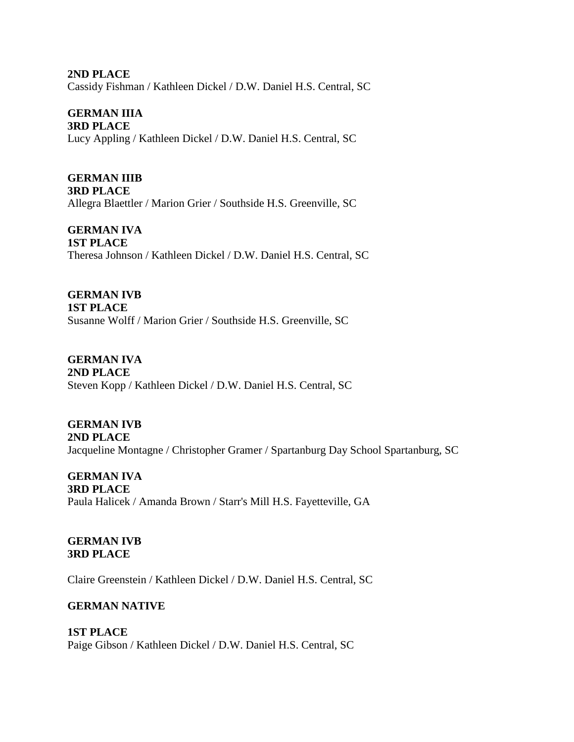**2ND PLACE** Cassidy Fishman / Kathleen Dickel / D.W. Daniel H.S. Central, SC

**GERMAN IIIA 3RD PLACE**  Lucy Appling / Kathleen Dickel / D.W. Daniel H.S. Central, SC

**GERMAN IIIB 3RD PLACE**  Allegra Blaettler / Marion Grier / Southside H.S. Greenville, SC

**GERMAN IVA 1ST PLACE** Theresa Johnson / Kathleen Dickel / D.W. Daniel H.S. Central, SC

**GERMAN IVB 1ST PLACE** Susanne Wolff / Marion Grier / Southside H.S. Greenville, SC

**GERMAN IVA 2ND PLACE** Steven Kopp / Kathleen Dickel / D.W. Daniel H.S. Central, SC

**GERMAN IVB 2ND PLACE**  Jacqueline Montagne / Christopher Gramer / Spartanburg Day School Spartanburg, SC

**GERMAN IVA 3RD PLACE** Paula Halicek / Amanda Brown / Starr's Mill H.S. Fayetteville, GA

**GERMAN IVB 3RD PLACE**

Claire Greenstein / Kathleen Dickel / D.W. Daniel H.S. Central, SC

# **GERMAN NATIVE**

**1ST PLACE** Paige Gibson / Kathleen Dickel / D.W. Daniel H.S. Central, SC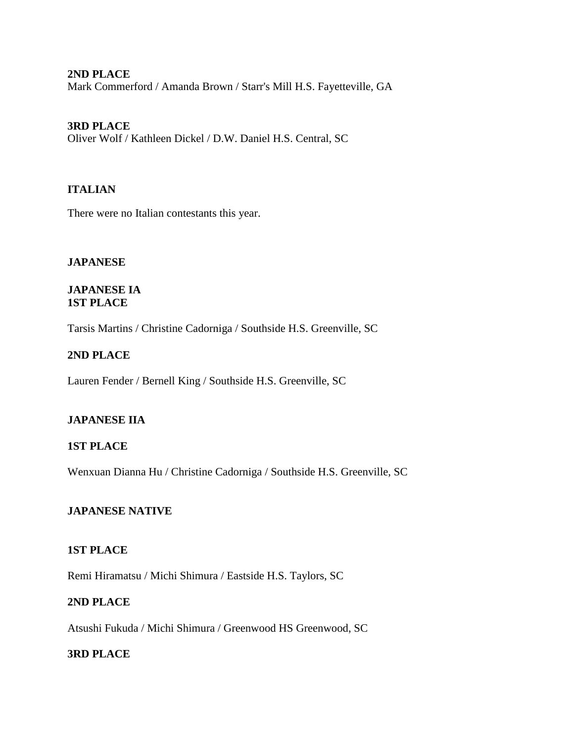#### **2ND PLACE**

Mark Commerford / Amanda Brown / Starr's Mill H.S. Fayetteville, GA

### **3RD PLACE**

Oliver Wolf / Kathleen Dickel / D.W. Daniel H.S. Central, SC

#### **ITALIAN**

There were no Italian contestants this year.

#### **JAPANESE**

#### **JAPANESE IA 1ST PLACE**

Tarsis Martins / Christine Cadorniga / Southside H.S. Greenville, SC

#### **2ND PLACE**

Lauren Fender / Bernell King / Southside H.S. Greenville, SC

### **JAPANESE IIA**

#### **1ST PLACE**

Wenxuan Dianna Hu / Christine Cadorniga / Southside H.S. Greenville, SC

#### **JAPANESE NATIVE**

#### **1ST PLACE**

Remi Hiramatsu / Michi Shimura / Eastside H.S. Taylors, SC

#### **2ND PLACE**

Atsushi Fukuda / Michi Shimura / Greenwood HS Greenwood, SC

### **3RD PLACE**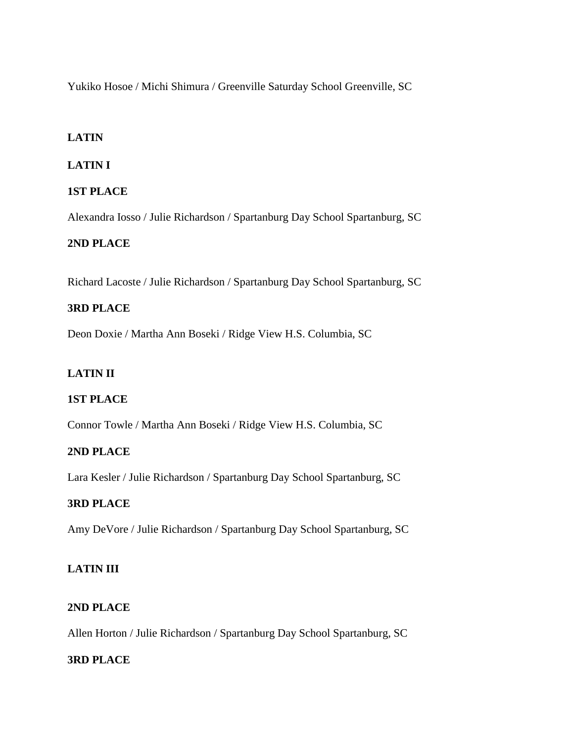Yukiko Hosoe / Michi Shimura / Greenville Saturday School Greenville, SC

# **LATIN**

# **LATIN I**

# **1ST PLACE**

Alexandra Iosso / Julie Richardson / Spartanburg Day School Spartanburg, SC

# **2ND PLACE**

Richard Lacoste / Julie Richardson / Spartanburg Day School Spartanburg, SC

# **3RD PLACE**

Deon Doxie / Martha Ann Boseki / Ridge View H.S. Columbia, SC

# **LATIN II**

# **1ST PLACE**

Connor Towle / Martha Ann Boseki / Ridge View H.S. Columbia, SC

# **2ND PLACE**

Lara Kesler / Julie Richardson / Spartanburg Day School Spartanburg, SC

# **3RD PLACE**

Amy DeVore / Julie Richardson / Spartanburg Day School Spartanburg, SC

# **LATIN III**

# **2ND PLACE**

Allen Horton / Julie Richardson / Spartanburg Day School Spartanburg, SC

# **3RD PLACE**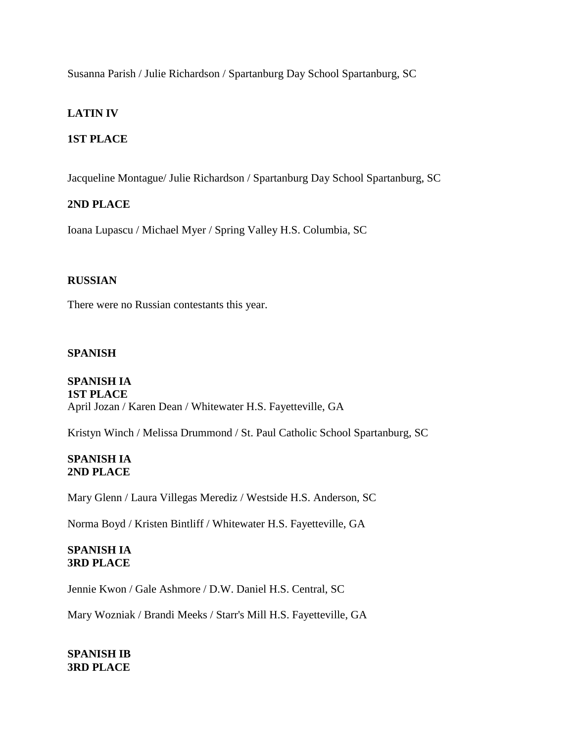Susanna Parish / Julie Richardson / Spartanburg Day School Spartanburg, SC

# **LATIN IV**

# **1ST PLACE**

Jacqueline Montague/ Julie Richardson / Spartanburg Day School Spartanburg, SC

# **2ND PLACE**

Ioana Lupascu / Michael Myer / Spring Valley H.S. Columbia, SC

# **RUSSIAN**

There were no Russian contestants this year.

# **SPANISH**

### **SPANISH IA 1ST PLACE** April Jozan / Karen Dean / Whitewater H.S. Fayetteville, GA

Kristyn Winch / Melissa Drummond / St. Paul Catholic School Spartanburg, SC

### **SPANISH IA 2ND PLACE**

Mary Glenn / Laura Villegas Merediz / Westside H.S. Anderson, SC

Norma Boyd / Kristen Bintliff / Whitewater H.S. Fayetteville, GA

### **SPANISH IA 3RD PLACE**

Jennie Kwon / Gale Ashmore / D.W. Daniel H.S. Central, SC

Mary Wozniak / Brandi Meeks / Starr's Mill H.S. Fayetteville, GA

**SPANISH IB 3RD PLACE**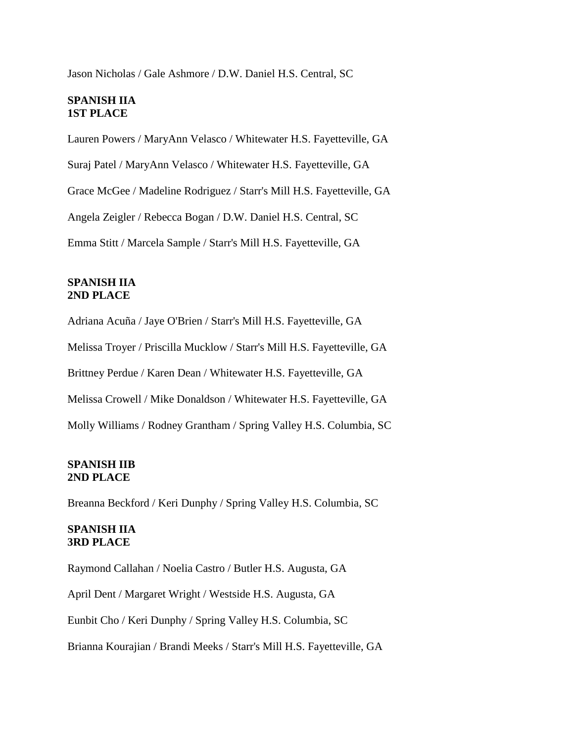Jason Nicholas / Gale Ashmore / D.W. Daniel H.S. Central, SC

#### **SPANISH IIA 1ST PLACE**

Lauren Powers / MaryAnn Velasco / Whitewater H.S. Fayetteville, GA Suraj Patel / MaryAnn Velasco / Whitewater H.S. Fayetteville, GA Grace McGee / Madeline Rodriguez / Starr's Mill H.S. Fayetteville, GA Angela Zeigler / Rebecca Bogan / D.W. Daniel H.S. Central, SC Emma Stitt / Marcela Sample / Starr's Mill H.S. Fayetteville, GA

### **SPANISH IIA 2ND PLACE**

Adriana Acuña / Jaye O'Brien / Starr's Mill H.S. Fayetteville, GA Melissa Troyer / Priscilla Mucklow / Starr's Mill H.S. Fayetteville, GA Brittney Perdue / Karen Dean / Whitewater H.S. Fayetteville, GA Melissa Crowell / Mike Donaldson / Whitewater H.S. Fayetteville, GA Molly Williams / Rodney Grantham / Spring Valley H.S. Columbia, SC

### **SPANISH IIB 2ND PLACE**

Breanna Beckford / Keri Dunphy / Spring Valley H.S. Columbia, SC

### **SPANISH IIA 3RD PLACE**

Raymond Callahan / Noelia Castro / Butler H.S. Augusta, GA April Dent / Margaret Wright / Westside H.S. Augusta, GA Eunbit Cho / Keri Dunphy / Spring Valley H.S. Columbia, SC Brianna Kourajian / Brandi Meeks / Starr's Mill H.S. Fayetteville, GA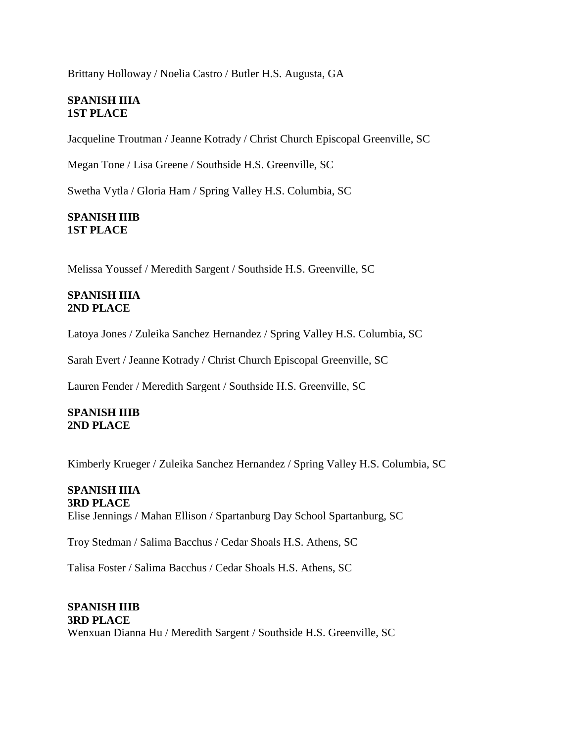Brittany Holloway / Noelia Castro / Butler H.S. Augusta, GA

### **SPANISH IIIA 1ST PLACE**

Jacqueline Troutman / Jeanne Kotrady / Christ Church Episcopal Greenville, SC

Megan Tone / Lisa Greene / Southside H.S. Greenville, SC

Swetha Vytla / Gloria Ham / Spring Valley H.S. Columbia, SC

### **SPANISH IIIB 1ST PLACE**

Melissa Youssef / Meredith Sargent / Southside H.S. Greenville, SC

### **SPANISH IIIA 2ND PLACE**

Latoya Jones / Zuleika Sanchez Hernandez / Spring Valley H.S. Columbia, SC

Sarah Evert / Jeanne Kotrady / Christ Church Episcopal Greenville, SC

Lauren Fender / Meredith Sargent / Southside H.S. Greenville, SC

### **SPANISH IIIB 2ND PLACE**

Kimberly Krueger / Zuleika Sanchez Hernandez / Spring Valley H.S. Columbia, SC

#### **SPANISH IIIA 3RD PLACE**

Elise Jennings / Mahan Ellison / Spartanburg Day School Spartanburg, SC

Troy Stedman / Salima Bacchus / Cedar Shoals H.S. Athens, SC

Talisa Foster / Salima Bacchus / Cedar Shoals H.S. Athens, SC

# **SPANISH IIIB 3RD PLACE** Wenxuan Dianna Hu / Meredith Sargent / Southside H.S. Greenville, SC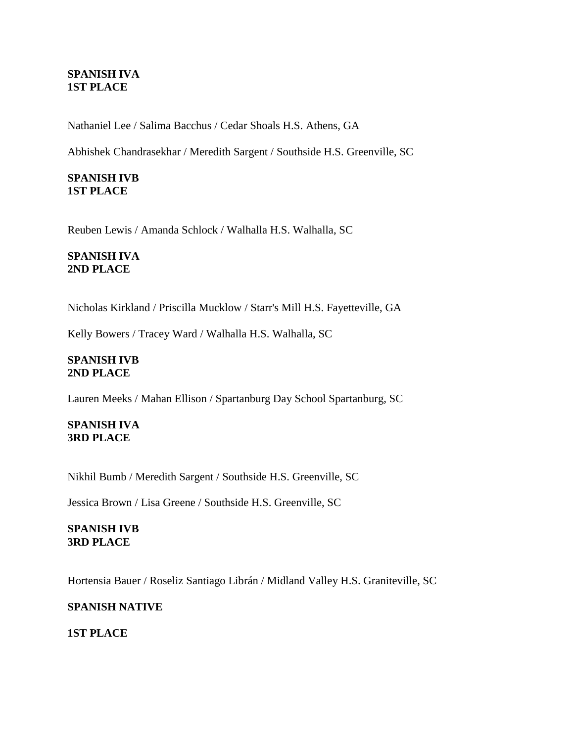### **SPANISH IVA 1ST PLACE**

Nathaniel Lee / Salima Bacchus / Cedar Shoals H.S. Athens, GA

Abhishek Chandrasekhar / Meredith Sargent / Southside H.S. Greenville, SC

### **SPANISH IVB 1ST PLACE**

Reuben Lewis / Amanda Schlock / Walhalla H.S. Walhalla, SC

### **SPANISH IVA 2ND PLACE**

Nicholas Kirkland / Priscilla Mucklow / Starr's Mill H.S. Fayetteville, GA

Kelly Bowers / Tracey Ward / Walhalla H.S. Walhalla, SC

### **SPANISH IVB 2ND PLACE**

Lauren Meeks / Mahan Ellison / Spartanburg Day School Spartanburg, SC

### **SPANISH IVA 3RD PLACE**

Nikhil Bumb / Meredith Sargent / Southside H.S. Greenville, SC

Jessica Brown / Lisa Greene / Southside H.S. Greenville, SC

### **SPANISH IVB 3RD PLACE**

Hortensia Bauer / Roseliz Santiago Librán / Midland Valley H.S. Graniteville, SC

### **SPANISH NATIVE**

### **1ST PLACE**